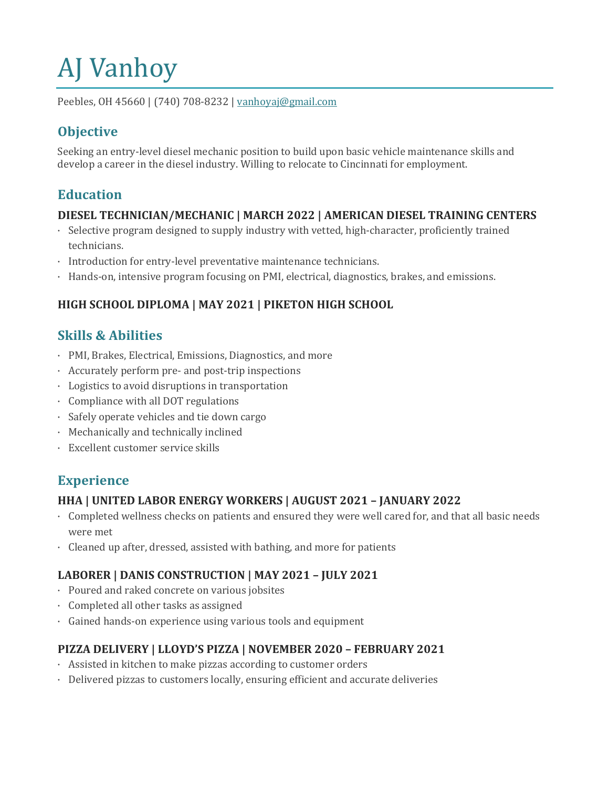# **AJ** Vanhoy

Peebles, OH 45660 | (740) 708-8232 | vanhoyaj@gmail.com

# **Objective**

Seeking an entry-level diesel mechanic position to build upon basic vehicle maintenance skills and develop a career in the diesel industry. Willing to relocate to Cincinnati for employment.

## **Education**

#### **DIESEL TECHNICIAN/MECHANIC | MARCH 2022 | AMERICAN DIESEL TRAINING CENTERS**

- $\cdot$  Selective program designed to supply industry with vetted, high-character, proficiently trained technicians.
- Introduction for entry-level preventative maintenance technicians.
- Hands-on, intensive program focusing on PMI, electrical, diagnostics, brakes, and emissions.

#### HIGH SCHOOL DIPLOMA | MAY 2021 | PIKETON HIGH SCHOOL

## **Skills & Abilities**

- PMI, Brakes, Electrical, Emissions, Diagnostics, and more
- Accurately perform pre- and post-trip inspections
- $\cdot$  Logistics to avoid disruptions in transportation
- $\cdot$  Compliance with all DOT regulations
- · Safely operate vehicles and tie down cargo
- Mechanically and technically inclined
- · Excellent customer service skills

## **Experience**

#### **HHA | UNITED LABOR ENERGY WORKERS | AUGUST 2021 – JANUARY 2022**

- · Completed wellness checks on patients and ensured they were well cared for, and that all basic needs were met
- Cleaned up after, dressed, assisted with bathing, and more for patients

#### **LABORER | DANIS CONSTRUCTION | MAY 2021 – JULY 2021**

- Poured and raked concrete on various jobsites
- $\cdot$  Completed all other tasks as assigned
- · Gained hands-on experience using various tools and equipment

#### **PIZZA DELIVERY | LLOYD'S PIZZA | NOVEMBER 2020 – FEBRUARY 2021**

- $\cdot$  Assisted in kitchen to make pizzas according to customer orders
- $\cdot$  Delivered pizzas to customers locally, ensuring efficient and accurate deliveries